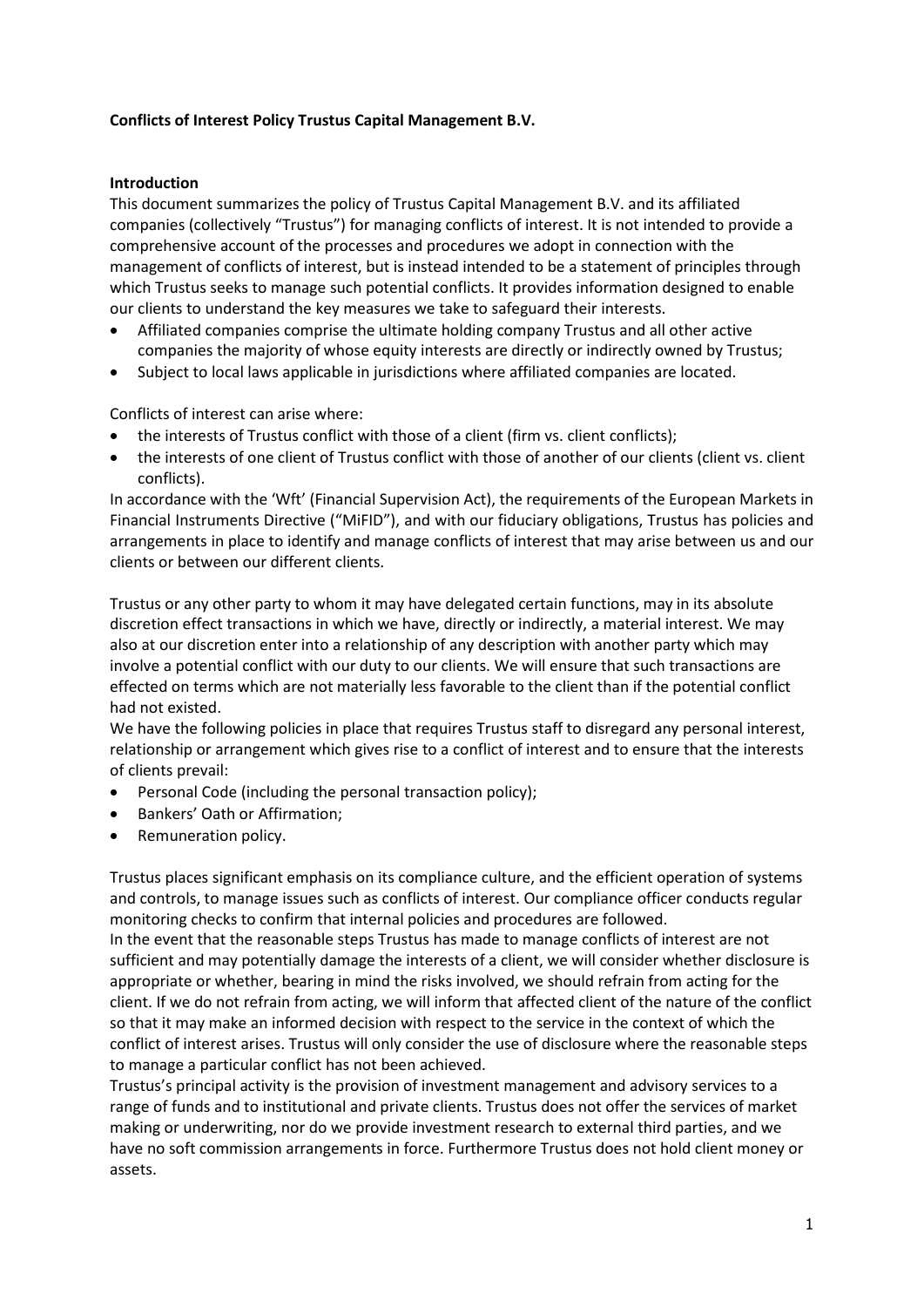# **Conflicts of Interest Policy Trustus Capital Management B.V.**

## **Introduction**

This document summarizes the policy of Trustus Capital Management B.V. and its affiliated companies (collectively "Trustus") for managing conflicts of interest. It is not intended to provide a comprehensive account of the processes and procedures we adopt in connection with the management of conflicts of interest, but is instead intended to be a statement of principles through which Trustus seeks to manage such potential conflicts. It provides information designed to enable our clients to understand the key measures we take to safeguard their interests.

- Affiliated companies comprise the ultimate holding company Trustus and all other active companies the majority of whose equity interests are directly or indirectly owned by Trustus;
- Subject to local laws applicable in jurisdictions where affiliated companies are located.

Conflicts of interest can arise where:

- the interests of Trustus conflict with those of a client (firm vs. client conflicts);
- the interests of one client of Trustus conflict with those of another of our clients (client vs. client conflicts).

In accordance with the 'Wft' (Financial Supervision Act), the requirements of the European Markets in Financial Instruments Directive ("MiFID"), and with our fiduciary obligations, Trustus has policies and arrangements in place to identify and manage conflicts of interest that may arise between us and our clients or between our different clients.

Trustus or any other party to whom it may have delegated certain functions, may in its absolute discretion effect transactions in which we have, directly or indirectly, a material interest. We may also at our discretion enter into a relationship of any description with another party which may involve a potential conflict with our duty to our clients. We will ensure that such transactions are effected on terms which are not materially less favorable to the client than if the potential conflict had not existed.

We have the following policies in place that requires Trustus staff to disregard any personal interest, relationship or arrangement which gives rise to a conflict of interest and to ensure that the interests of clients prevail:

- Personal Code (including the personal transaction policy);
- Bankers' Oath or Affirmation;
- Remuneration policy.

Trustus places significant emphasis on its compliance culture, and the efficient operation of systems and controls, to manage issues such as conflicts of interest. Our compliance officer conducts regular monitoring checks to confirm that internal policies and procedures are followed.

In the event that the reasonable steps Trustus has made to manage conflicts of interest are not sufficient and may potentially damage the interests of a client, we will consider whether disclosure is appropriate or whether, bearing in mind the risks involved, we should refrain from acting for the client. If we do not refrain from acting, we will inform that affected client of the nature of the conflict so that it may make an informed decision with respect to the service in the context of which the conflict of interest arises. Trustus will only consider the use of disclosure where the reasonable steps to manage a particular conflict has not been achieved.

Trustus's principal activity is the provision of investment management and advisory services to a range of funds and to institutional and private clients. Trustus does not offer the services of market making or underwriting, nor do we provide investment research to external third parties, and we have no soft commission arrangements in force. Furthermore Trustus does not hold client money or assets.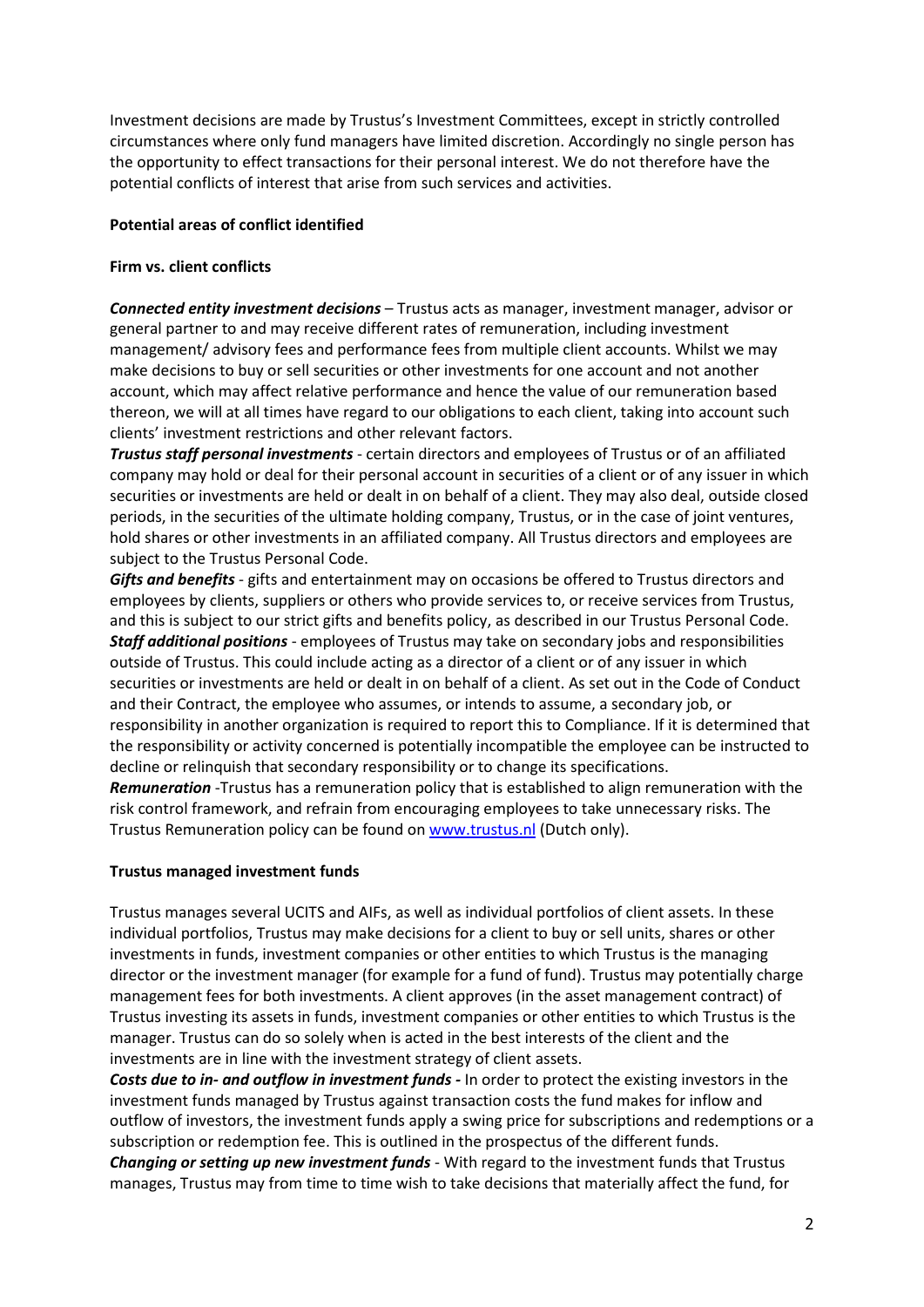Investment decisions are made by Trustus's Investment Committees, except in strictly controlled circumstances where only fund managers have limited discretion. Accordingly no single person has the opportunity to effect transactions for their personal interest. We do not therefore have the potential conflicts of interest that arise from such services and activities.

# **Potential areas of conflict identified**

## **Firm vs. client conflicts**

*Connected entity investment decisions* – Trustus acts as manager, investment manager, advisor or general partner to and may receive different rates of remuneration, including investment management/ advisory fees and performance fees from multiple client accounts. Whilst we may make decisions to buy or sell securities or other investments for one account and not another account, which may affect relative performance and hence the value of our remuneration based thereon, we will at all times have regard to our obligations to each client, taking into account such clients' investment restrictions and other relevant factors.

*Trustus staff personal investments* - certain directors and employees of Trustus or of an affiliated company may hold or deal for their personal account in securities of a client or of any issuer in which securities or investments are held or dealt in on behalf of a client. They may also deal, outside closed periods, in the securities of the ultimate holding company, Trustus, or in the case of joint ventures, hold shares or other investments in an affiliated company. All Trustus directors and employees are subject to the Trustus Personal Code.

*Gifts and benefits* - gifts and entertainment may on occasions be offered to Trustus directors and employees by clients, suppliers or others who provide services to, or receive services from Trustus, and this is subject to our strict gifts and benefits policy, as described in our Trustus Personal Code. *Staff additional positions* - employees of Trustus may take on secondary jobs and responsibilities outside of Trustus. This could include acting as a director of a client or of any issuer in which securities or investments are held or dealt in on behalf of a client. As set out in the Code of Conduct and their Contract, the employee who assumes, or intends to assume, a secondary job, or responsibility in another organization is required to report this to Compliance. If it is determined that the responsibility or activity concerned is potentially incompatible the employee can be instructed to decline or relinquish that secondary responsibility or to change its specifications.

*Remuneration* -Trustus has a remuneration policy that is established to align remuneration with the risk control framework, and refrain from encouraging employees to take unnecessary risks. The Trustus Remuneration policy can be found on [www.trustus.nl](http://www.trustus.nl/) (Dutch only).

#### **Trustus managed investment funds**

Trustus manages several UCITS and AIFs, as well as individual portfolios of client assets. In these individual portfolios, Trustus may make decisions for a client to buy or sell units, shares or other investments in funds, investment companies or other entities to which Trustus is the managing director or the investment manager (for example for a fund of fund). Trustus may potentially charge management fees for both investments. A client approves (in the asset management contract) of Trustus investing its assets in funds, investment companies or other entities to which Trustus is the manager. Trustus can do so solely when is acted in the best interests of the client and the investments are in line with the investment strategy of client assets.

*Costs due to in- and outflow in investment funds -* In order to protect the existing investors in the investment funds managed by Trustus against transaction costs the fund makes for inflow and outflow of investors, the investment funds apply a swing price for subscriptions and redemptions or a subscription or redemption fee. This is outlined in the prospectus of the different funds. *Changing or setting up new investment funds* - With regard to the investment funds that Trustus manages, Trustus may from time to time wish to take decisions that materially affect the fund, for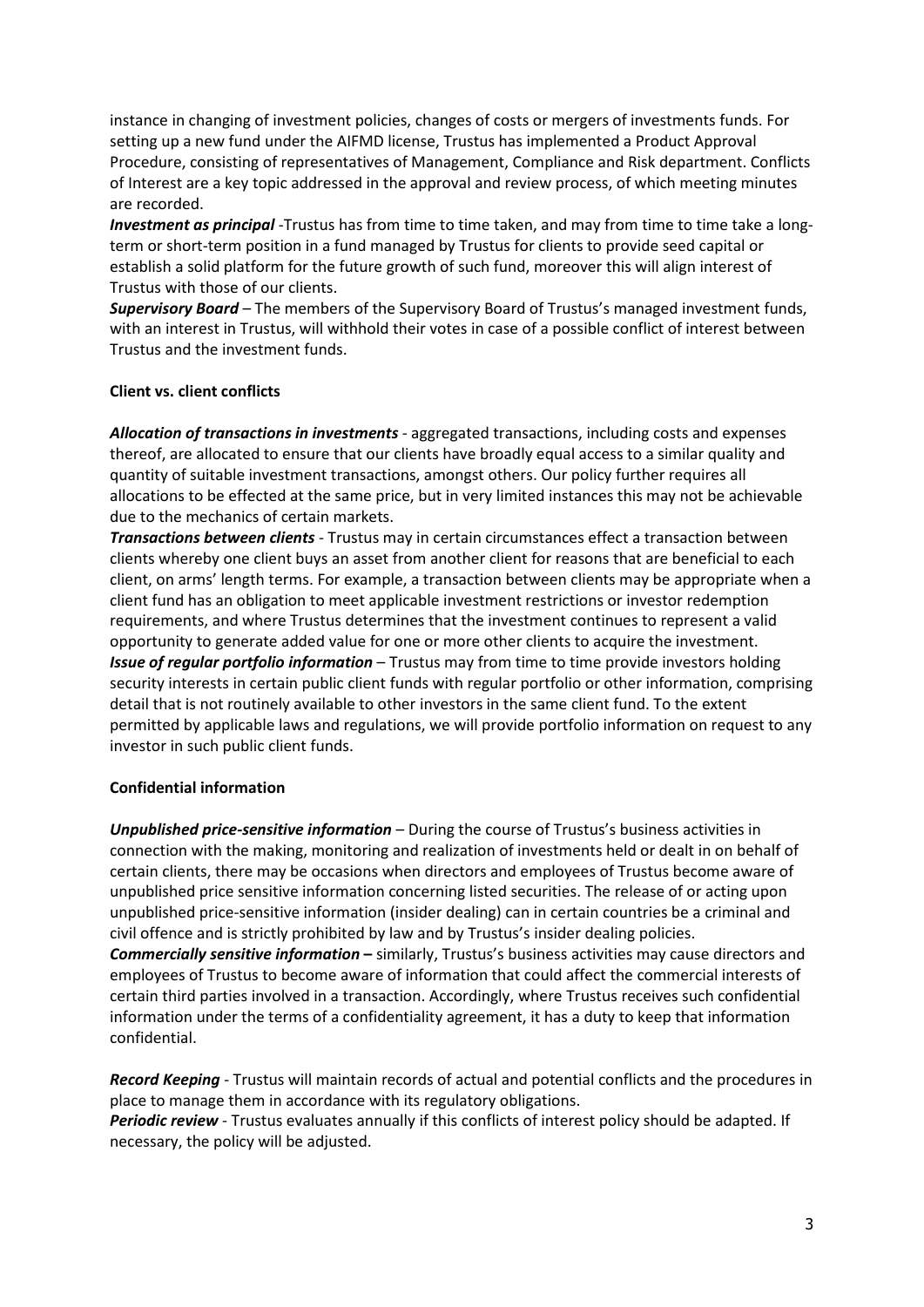instance in changing of investment policies, changes of costs or mergers of investments funds. For setting up a new fund under the AIFMD license, Trustus has implemented a Product Approval Procedure, consisting of representatives of Management, Compliance and Risk department. Conflicts of Interest are a key topic addressed in the approval and review process, of which meeting minutes are recorded.

*Investment as principal* -Trustus has from time to time taken, and may from time to time take a longterm or short-term position in a fund managed by Trustus for clients to provide seed capital or establish a solid platform for the future growth of such fund, moreover this will align interest of Trustus with those of our clients.

*Supervisory Board* – The members of the Supervisory Board of Trustus's managed investment funds, with an interest in Trustus, will withhold their votes in case of a possible conflict of interest between Trustus and the investment funds.

#### **Client vs. client conflicts**

*Allocation of transactions in investments* - aggregated transactions, including costs and expenses thereof, are allocated to ensure that our clients have broadly equal access to a similar quality and quantity of suitable investment transactions, amongst others. Our policy further requires all allocations to be effected at the same price, but in very limited instances this may not be achievable due to the mechanics of certain markets.

*Transactions between clients* - Trustus may in certain circumstances effect a transaction between clients whereby one client buys an asset from another client for reasons that are beneficial to each client, on arms' length terms. For example, a transaction between clients may be appropriate when a client fund has an obligation to meet applicable investment restrictions or investor redemption requirements, and where Trustus determines that the investment continues to represent a valid opportunity to generate added value for one or more other clients to acquire the investment. *Issue of regular portfolio information* – Trustus may from time to time provide investors holding security interests in certain public client funds with regular portfolio or other information, comprising detail that is not routinely available to other investors in the same client fund. To the extent permitted by applicable laws and regulations, we will provide portfolio information on request to any investor in such public client funds.

# **Confidential information**

*Unpublished price-sensitive information* – During the course of Trustus's business activities in connection with the making, monitoring and realization of investments held or dealt in on behalf of certain clients, there may be occasions when directors and employees of Trustus become aware of unpublished price sensitive information concerning listed securities. The release of or acting upon unpublished price-sensitive information (insider dealing) can in certain countries be a criminal and civil offence and is strictly prohibited by law and by Trustus's insider dealing policies. *Commercially sensitive information* **–** similarly, Trustus's business activities may cause directors and employees of Trustus to become aware of information that could affect the commercial interests of certain third parties involved in a transaction. Accordingly, where Trustus receives such confidential information under the terms of a confidentiality agreement, it has a duty to keep that information confidential.

*Record Keeping* - Trustus will maintain records of actual and potential conflicts and the procedures in place to manage them in accordance with its regulatory obligations.

*Periodic review* - Trustus evaluates annually if this conflicts of interest policy should be adapted. If necessary, the policy will be adjusted.